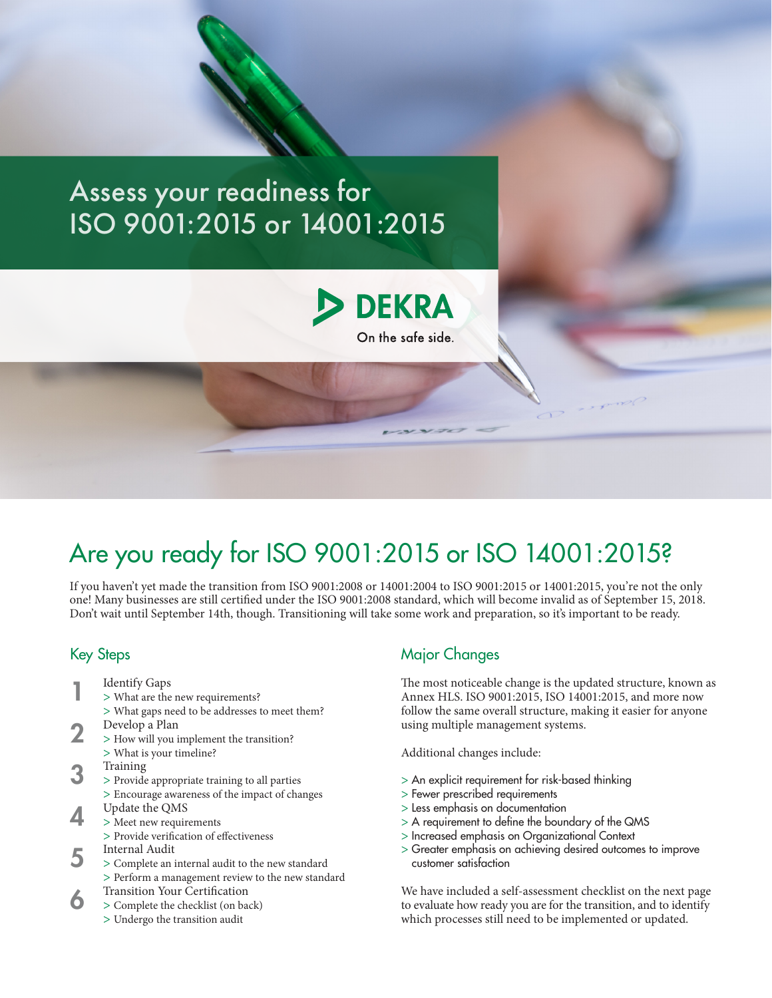## Assess your readiness for ISO 9001:2015 or 14001:2015



## Are you ready for ISO 9001:2015 or ISO 14001:2015?

If you haven't yet made the transition from ISO 9001:2008 or 14001:2004 to ISO 9001:2015 or 14001:2015, you're not the only one! Many businesses are still certified under the ISO 9001:2008 standard, which will become invalid as of September 15, 2018. Don't wait until September 14th, though. Transitioning will take some work and preparation, so it's important to be ready.

## Key Steps

- Identify Gaps 1
	- > What are the new requirements?
		- > What gaps need to be addresses to meet them?
- Develop a Plan 2
	- > How will you implement the transition? > What is your timeline?
- Training
- > Provide appropriate training to all parties 3
	- > Encourage awareness of the impact of changes
- Update the QMS 4
	- > Meet new requirements
	- > Provide verification of effectiveness
- Internal Audit 5
	- > Complete an internal audit to the new standard > Perform a management review to the new standard
- Transition Your Certification 6
	- > Complete the checklist (on back)
		- > Undergo the transition audit

## Major Changes

The most noticeable change is the updated structure, known as Annex HLS. ISO 9001:2015, ISO 14001:2015, and more now follow the same overall structure, making it easier for anyone using multiple management systems.

Additional changes include:

- > An explicit requirement for risk-based thinking
- > Fewer prescribed requirements
- > Less emphasis on documentation
- > A requirement to define the boundary of the QMS
- > Increased emphasis on Organizational Context
- > Greater emphasis on achieving desired outcomes to improve customer satisfaction

We have included a self-assessment checklist on the next page to evaluate how ready you are for the transition, and to identify which processes still need to be implemented or updated.